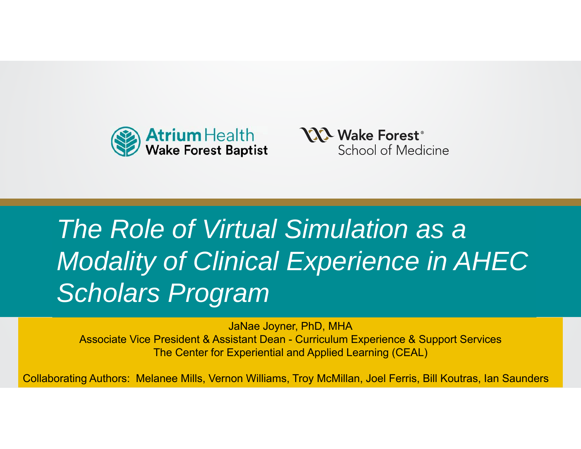



#### f Clinical Experienc with Subhead or Supporting Thomas Company of Supporting Thomas Company of Supporting Thomas Company of Supporting Thomas Company of Supporting Thomas Company of Supporting Thomas Company of Supporting Thomas Company of Tho *The Role of Virtual Simulation as a Modality of Clinical Experience in AHEC Scholars Program*

9.2.20 | Department name JaNae Joyner, PhD, MHA Associate Vice President & Assistant Dean - Curriculum Experience & Support Services The Center for Experiential and Applied Learning (CEAL)

Collaborating Authors: Melanee Mills, Vernon Williams, Troy McMillan, Joel Ferris, Bill Koutras, Ian Saunders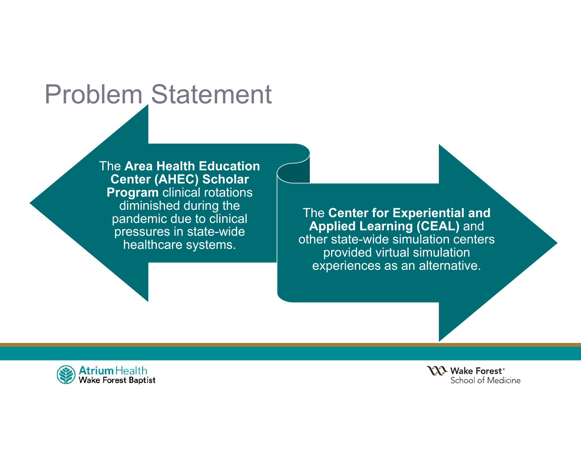# Problem Statement

The **Area Health Education Center (AHEC) Scholar Program** clinical rotations diminished during the pandemic due to clinical pressures in state-wide healthcare systems.

The **Center for Experiential and Applied Learning (CEAL)** and other state-wide simulation centers provided virtual simulation experiences as an alternative.



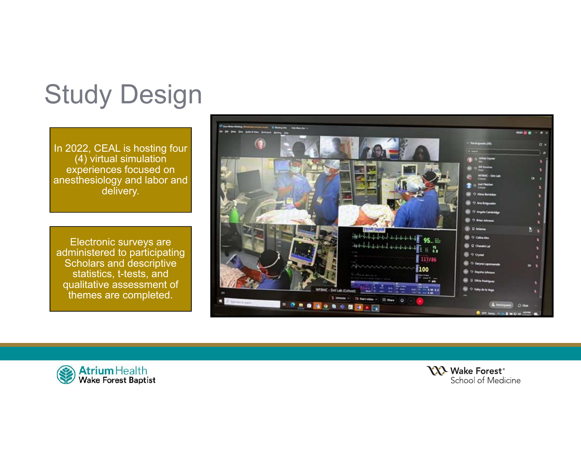# Study Design

In 2022, CEAL is hosting four (4) virtual simulation experiences focused on anesthesiology and labor and delivery.

Electronic surveys are administered to participating Scholars and descriptive statistics, t-tests, and qualitative assessment of themes are completed.





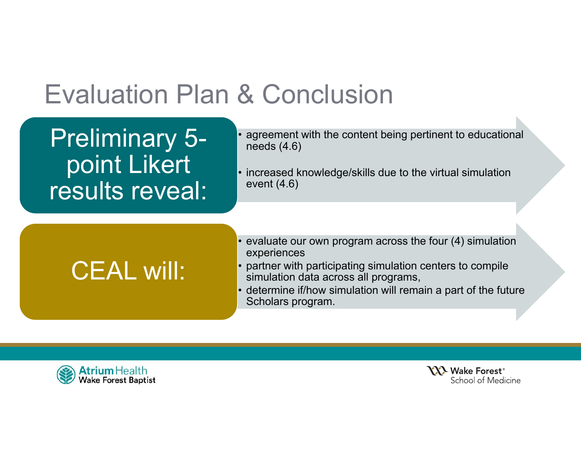### Evaluation Plan & Conclusion

Preliminary 5 point Likert results reveal:

- • agreement with the content being pertinent to educational needs (4.6)
- • increased knowledge/skills due to the virtual simulation event (4.6)

# CEAL will:

- evaluate our own program across the four (4) simulation experiences
- partner with participating simulation centers to compile simulation data across all programs,
- • determine if/how simulation will remain a part of the future Scholars program.